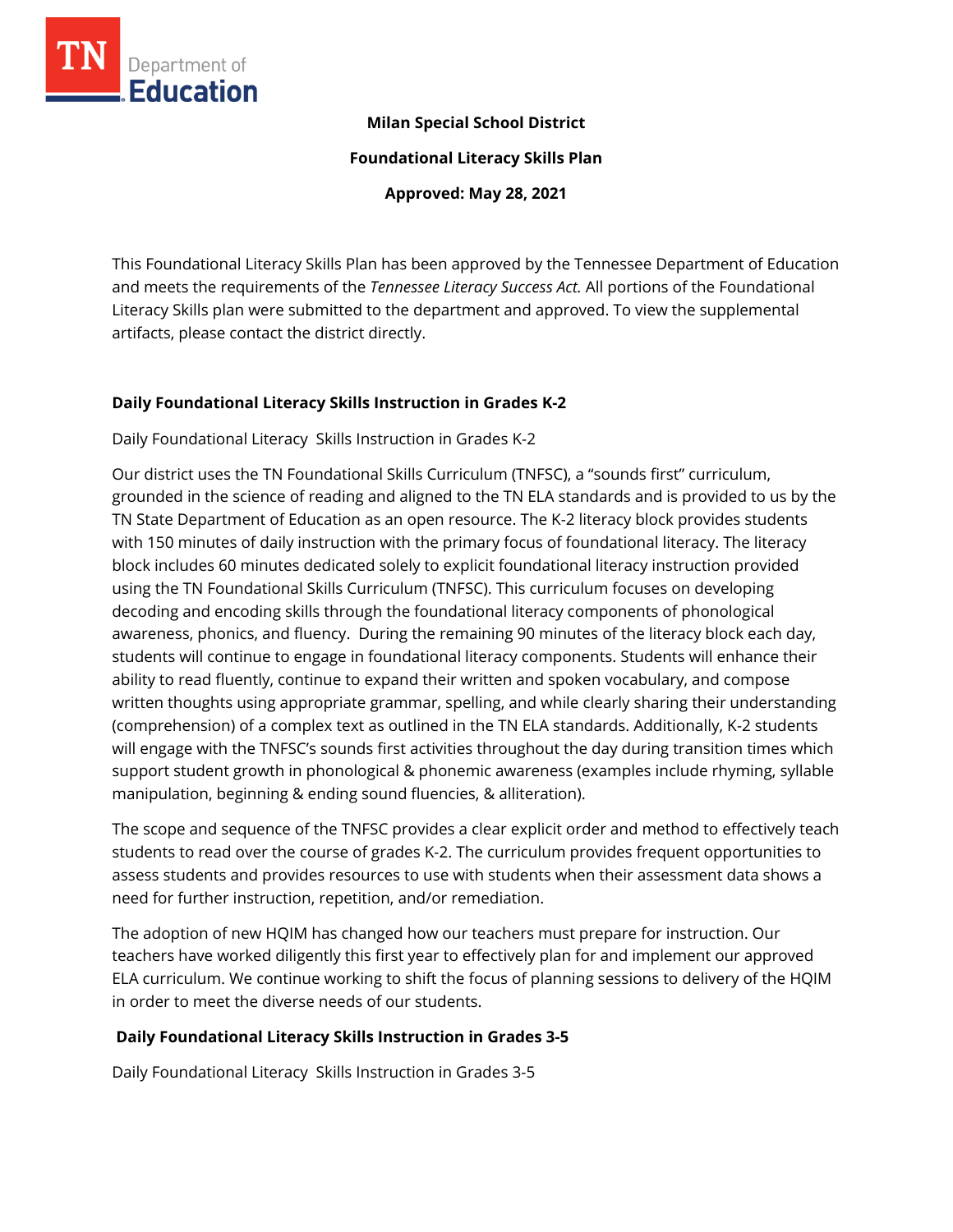

### **Milan Special School District**

**Foundational Literacy Skills Plan**

**Approved: May 28, 2021**

This Foundational Literacy Skills Plan has been approved by the Tennessee Department of Education and meets the requirements of the *Tennessee Literacy Success Act.* All portions of the Foundational Literacy Skills plan were submitted to the department and approved. To view the supplemental artifacts, please contact the district directly.

### **Daily Foundational Literacy Skills Instruction in Grades K-2**

Daily Foundational Literacy Skills Instruction in Grades K-2

Our district uses the TN Foundational Skills Curriculum (TNFSC), a "sounds first" curriculum, grounded in the science of reading and aligned to the TN ELA standards and is provided to us by the TN State Department of Education as an open resource. The K-2 literacy block provides students with 150 minutes of daily instruction with the primary focus of foundational literacy. The literacy block includes 60 minutes dedicated solely to explicit foundational literacy instruction provided using the TN Foundational Skills Curriculum (TNFSC). This curriculum focuses on developing decoding and encoding skills through the foundational literacy components of phonological awareness, phonics, and fluency. During the remaining 90 minutes of the literacy block each day, students will continue to engage in foundational literacy components. Students will enhance their ability to read fluently, continue to expand their written and spoken vocabulary, and compose written thoughts using appropriate grammar, spelling, and while clearly sharing their understanding (comprehension) of a complex text as outlined in the TN ELA standards. Additionally, K-2 students will engage with the TNFSC's sounds first activities throughout the day during transition times which support student growth in phonological & phonemic awareness (examples include rhyming, syllable manipulation, beginning & ending sound fluencies, & alliteration).

The scope and sequence of the TNFSC provides a clear explicit order and method to effectively teach students to read over the course of grades K-2. The curriculum provides frequent opportunities to assess students and provides resources to use with students when their assessment data shows a need for further instruction, repetition, and/or remediation.

The adoption of new HQIM has changed how our teachers must prepare for instruction. Our teachers have worked diligently this first year to effectively plan for and implement our approved ELA curriculum. We continue working to shift the focus of planning sessions to delivery of the HQIM in order to meet the diverse needs of our students.

# **Daily Foundational Literacy Skills Instruction in Grades 3-5**

Daily Foundational Literacy Skills Instruction in Grades 3-5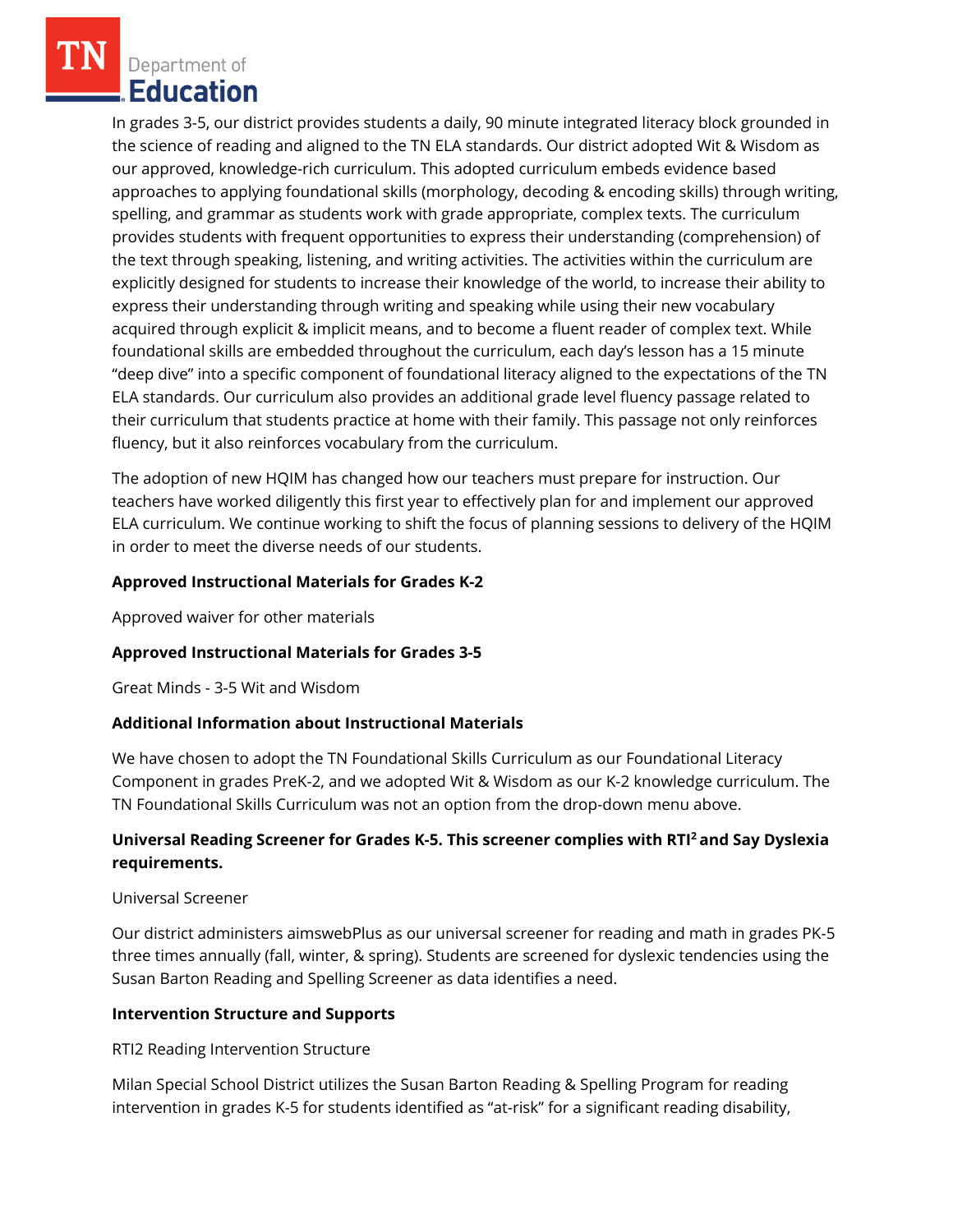Department of **Education** 

In grades 3-5, our district provides students a daily, 90 minute integrated literacy block grounded in the science of reading and aligned to the TN ELA standards. Our district adopted Wit & Wisdom as our approved, knowledge-rich curriculum. This adopted curriculum embeds evidence based approaches to applying foundational skills (morphology, decoding & encoding skills) through writing, spelling, and grammar as students work with grade appropriate, complex texts. The curriculum provides students with frequent opportunities to express their understanding (comprehension) of the text through speaking, listening, and writing activities. The activities within the curriculum are explicitly designed for students to increase their knowledge of the world, to increase their ability to express their understanding through writing and speaking while using their new vocabulary acquired through explicit & implicit means, and to become a fluent reader of complex text. While foundational skills are embedded throughout the curriculum, each day's lesson has a 15 minute "deep dive" into a specific component of foundational literacy aligned to the expectations of the TN ELA standards. Our curriculum also provides an additional grade level fluency passage related to their curriculum that students practice at home with their family. This passage not only reinforces fluency, but it also reinforces vocabulary from the curriculum.

The adoption of new HQIM has changed how our teachers must prepare for instruction. Our teachers have worked diligently this first year to effectively plan for and implement our approved ELA curriculum. We continue working to shift the focus of planning sessions to delivery of the HQIM in order to meet the diverse needs of our students.

### **Approved Instructional Materials for Grades K-2**

Approved waiver for other materials

### **Approved Instructional Materials for Grades 3-5**

Great Minds - 3-5 Wit and Wisdom

### **Additional Information about Instructional Materials**

We have chosen to adopt the TN Foundational Skills Curriculum as our Foundational Literacy Component in grades PreK-2, and we adopted Wit & Wisdom as our K-2 knowledge curriculum. The TN Foundational Skills Curriculum was not an option from the drop-down menu above.

### **Universal Reading Screener for Grades K-5. This screener complies with RTI<sup>2</sup>and Say Dyslexia requirements.**

### Universal Screener

Our district administers aimswebPlus as our universal screener for reading and math in grades PK-5 three times annually (fall, winter, & spring). Students are screened for dyslexic tendencies using the Susan Barton Reading and Spelling Screener as data identifies a need.

### **Intervention Structure and Supports**

RTI2 Reading Intervention Structure

Milan Special School District utilizes the Susan Barton Reading & Spelling Program for reading intervention in grades K-5 for students identified as "at-risk" for a significant reading disability,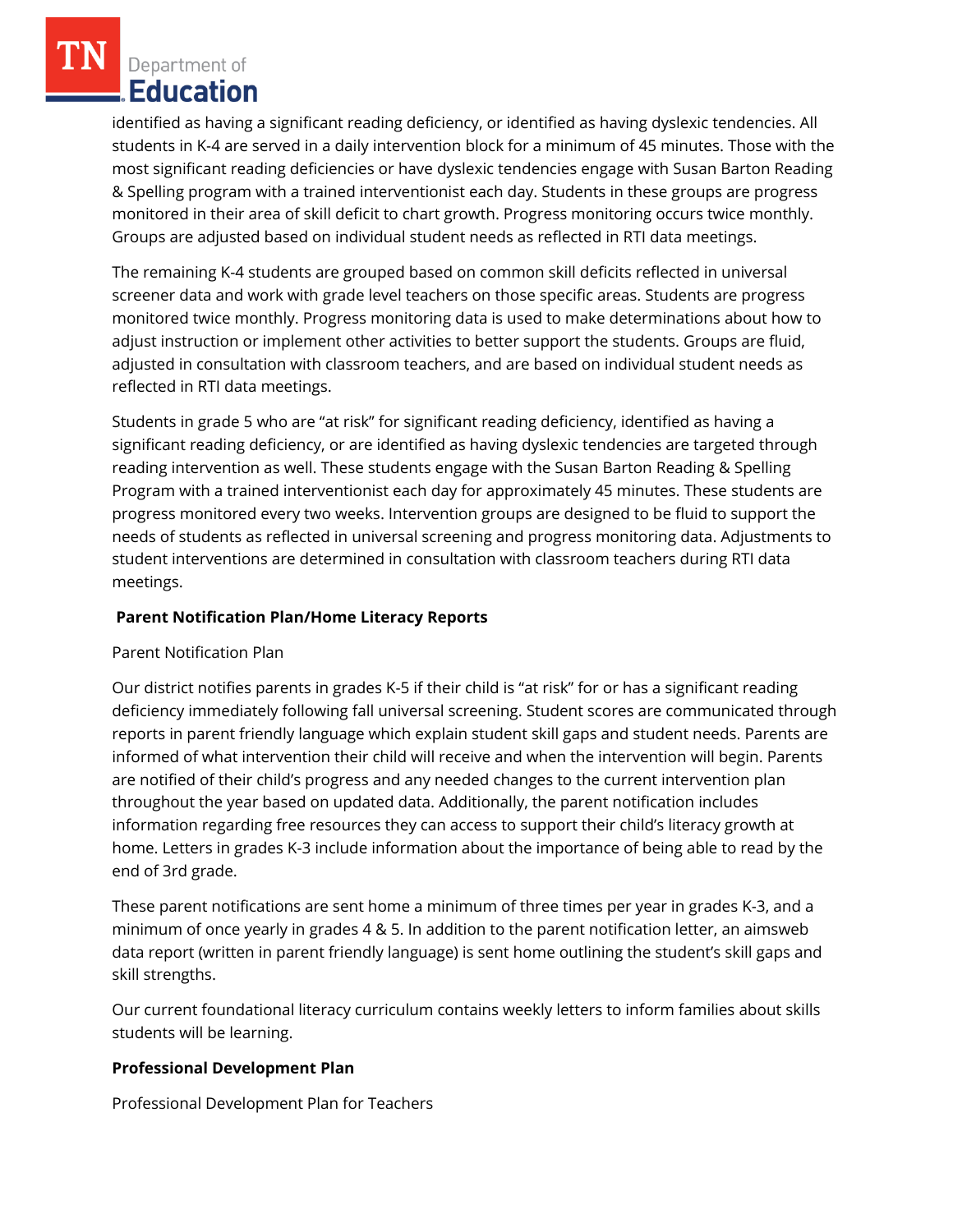Department of **Education** 

identified as having a significant reading deficiency, or identified as having dyslexic tendencies. All students in K-4 are served in a daily intervention block for a minimum of 45 minutes. Those with the most significant reading deficiencies or have dyslexic tendencies engage with Susan Barton Reading & Spelling program with a trained interventionist each day. Students in these groups are progress monitored in their area of skill deficit to chart growth. Progress monitoring occurs twice monthly. Groups are adjusted based on individual student needs as reflected in RTI data meetings.

The remaining K-4 students are grouped based on common skill deficits reflected in universal screener data and work with grade level teachers on those specific areas. Students are progress monitored twice monthly. Progress monitoring data is used to make determinations about how to adjust instruction or implement other activities to better support the students. Groups are fluid, adjusted in consultation with classroom teachers, and are based on individual student needs as reflected in RTI data meetings.

Students in grade 5 who are "at risk" for significant reading deficiency, identified as having a significant reading deficiency, or are identified as having dyslexic tendencies are targeted through reading intervention as well. These students engage with the Susan Barton Reading & Spelling Program with a trained interventionist each day for approximately 45 minutes. These students are progress monitored every two weeks. Intervention groups are designed to be fluid to support the needs of students as reflected in universal screening and progress monitoring data. Adjustments to student interventions are determined in consultation with classroom teachers during RTI data meetings.

## **Parent Notification Plan/Home Literacy Reports**

### Parent Notification Plan

Our district notifies parents in grades K-5 if their child is "at risk" for or has a significant reading deficiency immediately following fall universal screening. Student scores are communicated through reports in parent friendly language which explain student skill gaps and student needs. Parents are informed of what intervention their child will receive and when the intervention will begin. Parents are notified of their child's progress and any needed changes to the current intervention plan throughout the year based on updated data. Additionally, the parent notification includes information regarding free resources they can access to support their child's literacy growth at home. Letters in grades K-3 include information about the importance of being able to read by the end of 3rd grade.

These parent notifications are sent home a minimum of three times per year in grades K-3, and a minimum of once yearly in grades 4 & 5. In addition to the parent notification letter, an aimsweb data report (written in parent friendly language) is sent home outlining the student's skill gaps and skill strengths.

Our current foundational literacy curriculum contains weekly letters to inform families about skills students will be learning.

# **Professional Development Plan**

Professional Development Plan for Teachers